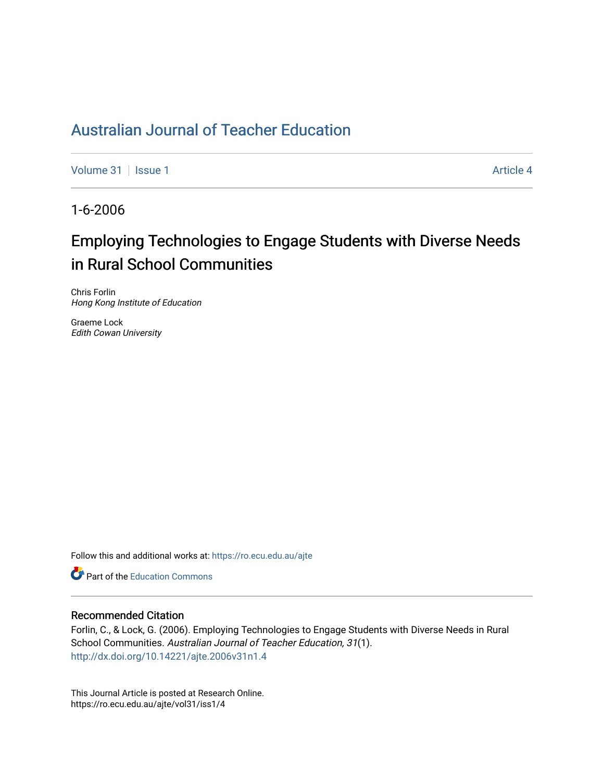# [Australian Journal of Teacher Education](https://ro.ecu.edu.au/ajte)

[Volume 31](https://ro.ecu.edu.au/ajte/vol31) | [Issue 1](https://ro.ecu.edu.au/ajte/vol31/iss1) Article 4

1-6-2006

# Employing Technologies to Engage Students with Diverse Needs in Rural School Communities

Chris Forlin Hong Kong Institute of Education

Graeme Lock Edith Cowan University

Follow this and additional works at: [https://ro.ecu.edu.au/ajte](https://ro.ecu.edu.au/ajte?utm_source=ro.ecu.edu.au%2Fajte%2Fvol31%2Fiss1%2F4&utm_medium=PDF&utm_campaign=PDFCoverPages) 

**Part of the Education Commons** 

## Recommended Citation

Forlin, C., & Lock, G. (2006). Employing Technologies to Engage Students with Diverse Needs in Rural School Communities. Australian Journal of Teacher Education, 31(1). <http://dx.doi.org/10.14221/ajte.2006v31n1.4>

This Journal Article is posted at Research Online. https://ro.ecu.edu.au/ajte/vol31/iss1/4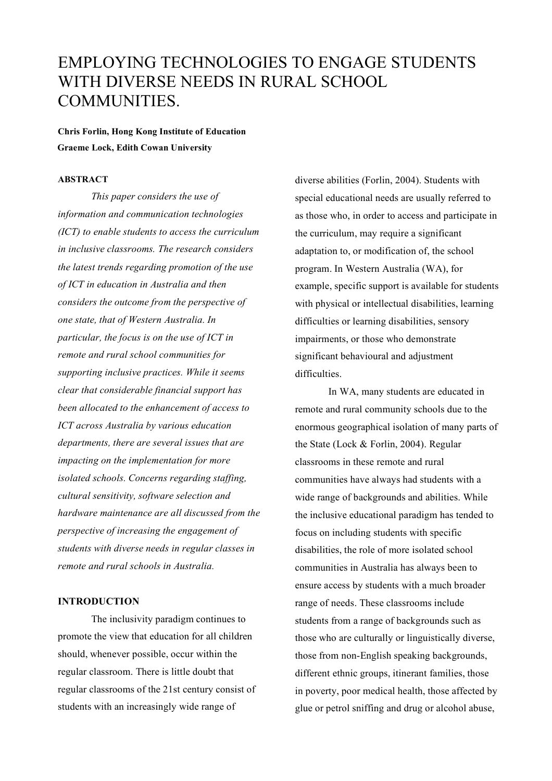# EMPLOYING TECHNOLOGIES TO ENGAGE STUDENTS WITH DIVERSE NEEDS IN RURAL SCHOOL COMMUNITIES.

**Chris Forlin, Hong Kong Institute of Education Graeme Lock, Edith Cowan University**

### **ABSTRACT**

*This paper considers the use of information and communication technologies (ICT) to enable students to access the curriculum in inclusive classrooms. The research considers the latest trends regarding promotion of the use of ICT in education in Australia and then considers the outcome from the perspective of one state, that of Western Australia. In particular, the focus is on the use of ICT in remote and rural school communities for supporting inclusive practices. While it seems clear that considerable financial support has been allocated to the enhancement of access to ICT across Australia by various education departments, there are several issues that are impacting on the implementation for more isolated schools. Concerns regarding staffing, cultural sensitivity, software selection and hardware maintenance are all discussed from the perspective of increasing the engagement of students with diverse needs in regular classes in remote and rural schools in Australia.*

#### **INTRODUCTION**

The inclusivity paradigm continues to promote the view that education for all children should, whenever possible, occur within the regular classroom. There is little doubt that regular classrooms of the 21st century consist of students with an increasingly wide range of

diverse abilities (Forlin, 2004). Students with special educational needs are usually referred to as those who, in order to access and participate in the curriculum, may require a significant adaptation to, or modification of, the school program. In Western Australia (WA), for example, specific support is available for students with physical or intellectual disabilities, learning difficulties or learning disabilities, sensory impairments, or those who demonstrate significant behavioural and adjustment difficulties.

In WA, many students are educated in remote and rural community schools due to the enormous geographical isolation of many parts of the State (Lock & Forlin, 2004). Regular classrooms in these remote and rural communities have always had students with a wide range of backgrounds and abilities. While the inclusive educational paradigm has tended to focus on including students with specific disabilities, the role of more isolated school communities in Australia has always been to ensure access by students with a much broader range of needs. These classrooms include students from a range of backgrounds such as those who are culturally or linguistically diverse, those from non-English speaking backgrounds, different ethnic groups, itinerant families, those in poverty, poor medical health, those affected by glue or petrol sniffing and drug or alcohol abuse,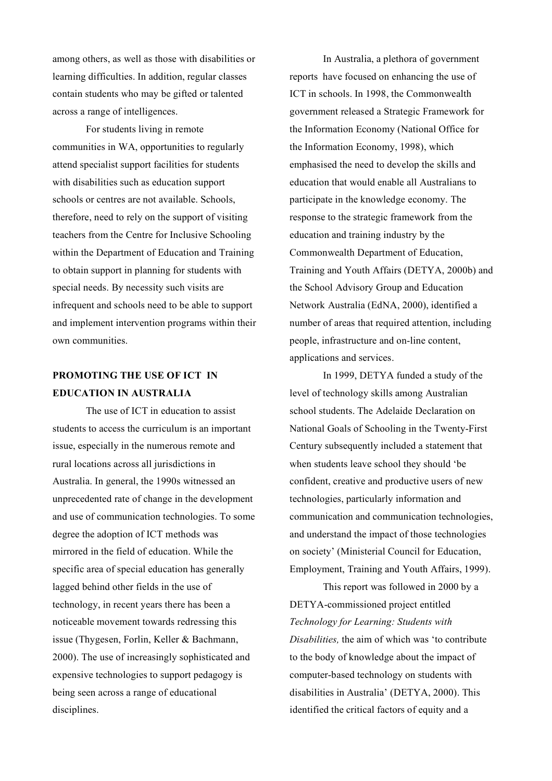among others, as well as those with disabilities or learning difficulties. In addition, regular classes contain students who may be gifted or talented across a range of intelligences.

For students living in remote communities in WA, opportunities to regularly attend specialist support facilities for students with disabilities such as education support schools or centres are not available. Schools, therefore, need to rely on the support of visiting teachers from the Centre for Inclusive Schooling within the Department of Education and Training to obtain support in planning for students with special needs. By necessity such visits are infrequent and schools need to be able to support and implement intervention programs within their own communities.

## **PROMOTING THE USE OF ICT IN EDUCATION IN AUSTRALIA**

The use of ICT in education to assist students to access the curriculum is an important issue, especially in the numerous remote and rural locations across all jurisdictions in Australia. In general, the 1990s witnessed an unprecedented rate of change in the development and use of communication technologies. To some degree the adoption of ICT methods was mirrored in the field of education. While the specific area of special education has generally lagged behind other fields in the use of technology, in recent years there has been a noticeable movement towards redressing this issue (Thygesen, Forlin, Keller & Bachmann, 2000). The use of increasingly sophisticated and expensive technologies to support pedagogy is being seen across a range of educational disciplines.

In Australia, a plethora of government reports have focused on enhancing the use of ICT in schools. In 1998, the Commonwealth government released a Strategic Framework for the Information Economy (National Office for the Information Economy, 1998), which emphasised the need to develop the skills and education that would enable all Australians to participate in the knowledge economy. The response to the strategic framework from the education and training industry by the Commonwealth Department of Education, Training and Youth Affairs (DETYA, 2000b) and the School Advisory Group and Education Network Australia (EdNA, 2000), identified a number of areas that required attention, including people, infrastructure and on-line content, applications and services.

In 1999, DETYA funded a study of the level of technology skills among Australian school students. The Adelaide Declaration on National Goals of Schooling in the Twenty-First Century subsequently included a statement that when students leave school they should 'be confident, creative and productive users of new technologies, particularly information and communication and communication technologies, and understand the impact of those technologies on society' (Ministerial Council for Education, Employment, Training and Youth Affairs, 1999).

This report was followed in 2000 by a DETYA-commissioned project entitled *Technology for Learning: Students with Disabilities,* the aim of which was 'to contribute to the body of knowledge about the impact of computer-based technology on students with disabilities in Australia' (DETYA, 2000). This identified the critical factors of equity and a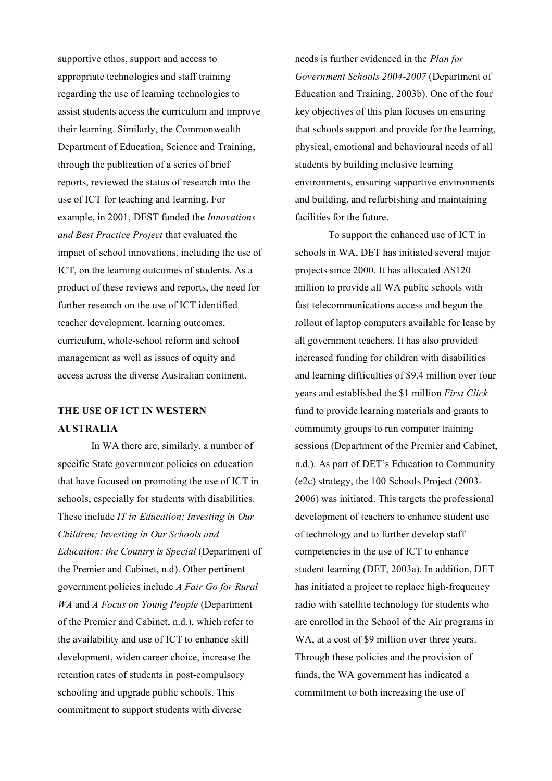supportive ethos, support and access to appropriate technologies and staff training regarding the use of learning technologies to assist students access the curriculum and improve their learning. Similarly, the Commonwealth Department of Education, Science and Training, through the publication of a series of brief reports, reviewed the status of research into the use of ICT for teaching and learning. For example, in 2001, DEST funded the *Innovations and Best Practice Project* that evaluated the impact of school innovations, including the use of ICT, on the learning outcomes of students. As a product of these reviews and reports, the need for further research on the use of ICT identified teacher development, learning outcomes, curriculum, whole-school reform and school management as well as issues of equity and access across the diverse Australian continent.

## **THE USE OF ICT IN WESTERN AUSTRALIA**

In WA there are, similarly, a number of specific State government policies on education that have focused on promoting the use of ICT in schools, especially for students with disabilities. These include *IT in Education; Investing in Our Children; Investing in Our Schools and Education: the Country is Special* (Department of the Premier and Cabinet, n.d). Other pertinent government policies include *A Fair Go for Rural WA* and *A Focus on Young People* (Department of the Premier and Cabinet, n.d.), which refer to the availability and use of ICT to enhance skill development, widen career choice, increase the retention rates of students in post-compulsory schooling and upgrade public schools. This commitment to support students with diverse

needs is further evidenced in the *Plan for Government Schools 2004-2007* (Department of Education and Training, 2003b). One of the four key objectives of this plan focuses on ensuring that schools support and provide for the learning, physical, emotional and behavioural needs of all students by building inclusive learning environments, ensuring supportive environments and building, and refurbishing and maintaining facilities for the future.

To support the enhanced use of ICT in schools in WA, DET has initiated several major projects since 2000. It has allocated A\$120 million to provide all WA public schools with fast telecommunications access and begun the rollout of laptop computers available for lease by all government teachers. It has also provided increased funding for children with disabilities and learning difficulties of \$9.4 million over four years and established the \$1 million *First Click* fund to provide learning materials and grants to community groups to run computer training sessions (Department of the Premier and Cabinet, n.d.). As part of DET's Education to Community (e2c) strategy, the 100 Schools Project (2003- 2006) was initiated. This targets the professional development of teachers to enhance student use of technology and to further develop staff competencies in the use of ICT to enhance student learning (DET, 2003a). In addition, DET has initiated a project to replace high-frequency radio with satellite technology for students who are enrolled in the School of the Air programs in WA, at a cost of \$9 million over three years. Through these policies and the provision of funds, the WA government has indicated a commitment to both increasing the use of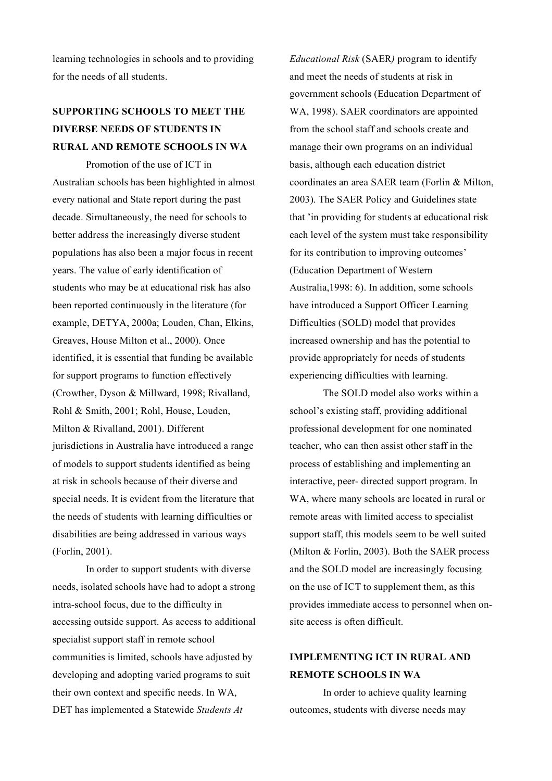learning technologies in schools and to providing for the needs of all students.

# **SUPPORTING SCHOOLS TO MEET THE DIVERSE NEEDS OF STUDENTS IN RURAL AND REMOTE SCHOOLS IN WA**

Promotion of the use of ICT in Australian schools has been highlighted in almost every national and State report during the past decade. Simultaneously, the need for schools to better address the increasingly diverse student populations has also been a major focus in recent years. The value of early identification of students who may be at educational risk has also been reported continuously in the literature (for example, DETYA, 2000a; Louden, Chan, Elkins, Greaves, House Milton et al., 2000). Once identified, it is essential that funding be available for support programs to function effectively (Crowther, Dyson & Millward, 1998; Rivalland, Rohl & Smith, 2001; Rohl, House, Louden, Milton & Rivalland, 2001). Different jurisdictions in Australia have introduced a range of models to support students identified as being at risk in schools because of their diverse and special needs. It is evident from the literature that the needs of students with learning difficulties or disabilities are being addressed in various ways (Forlin, 2001).

In order to support students with diverse needs, isolated schools have had to adopt a strong intra-school focus, due to the difficulty in accessing outside support. As access to additional specialist support staff in remote school communities is limited, schools have adjusted by developing and adopting varied programs to suit their own context and specific needs. In WA, DET has implemented a Statewide *Students At*

*Educational Risk* (SAER*)* program to identify and meet the needs of students at risk in government schools (Education Department of WA, 1998). SAER coordinators are appointed from the school staff and schools create and manage their own programs on an individual basis, although each education district coordinates an area SAER team (Forlin & Milton, 2003). The SAER Policy and Guidelines state that 'in providing for students at educational risk each level of the system must take responsibility for its contribution to improving outcomes' (Education Department of Western Australia,1998: 6). In addition, some schools have introduced a Support Officer Learning Difficulties (SOLD) model that provides increased ownership and has the potential to provide appropriately for needs of students experiencing difficulties with learning.

The SOLD model also works within a school's existing staff, providing additional professional development for one nominated teacher, who can then assist other staff in the process of establishing and implementing an interactive, peer- directed support program. In WA, where many schools are located in rural or remote areas with limited access to specialist support staff, this models seem to be well suited (Milton & Forlin, 2003). Both the SAER process and the SOLD model are increasingly focusing on the use of ICT to supplement them, as this provides immediate access to personnel when onsite access is often difficult.

## **IMPLEMENTING ICT IN RURAL AND REMOTE SCHOOLS IN WA**

In order to achieve quality learning outcomes, students with diverse needs may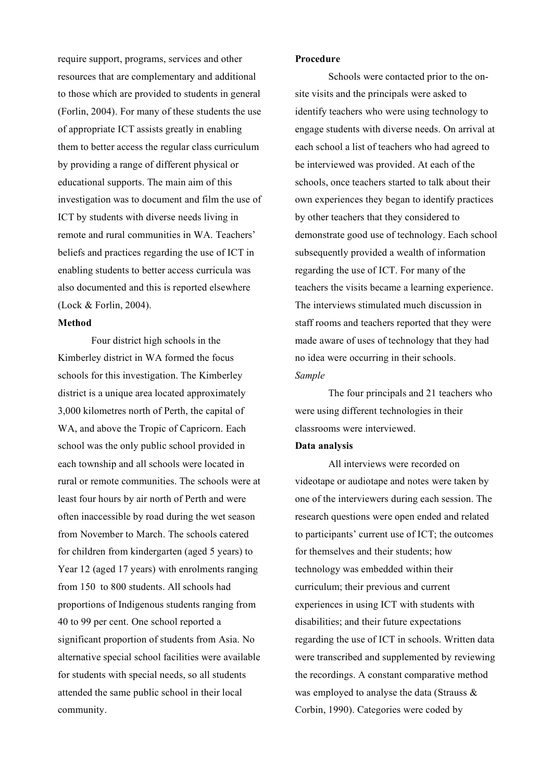require support, programs, services and other resources that are complementary and additional to those which are provided to students in general (Forlin, 2004). For many of these students the use of appropriate ICT assists greatly in enabling them to better access the regular class curriculum by providing a range of different physical or educational supports. The main aim of this investigation was to document and film the use of ICT by students with diverse needs living in remote and rural communities in WA. Teachers' beliefs and practices regarding the use of ICT in enabling students to better access curricula was also documented and this is reported elsewhere (Lock & Forlin, 2004).

### **Method**

Four district high schools in the Kimberley district in WA formed the focus schools for this investigation. The Kimberley district is a unique area located approximately 3,000 kilometres north of Perth, the capital of WA, and above the Tropic of Capricorn. Each school was the only public school provided in each township and all schools were located in rural or remote communities. The schools were at least four hours by air north of Perth and were often inaccessible by road during the wet season from November to March. The schools catered for children from kindergarten (aged 5 years) to Year 12 (aged 17 years) with enrolments ranging from 150 to 800 students. All schools had proportions of Indigenous students ranging from 40 to 99 per cent. One school reported a significant proportion of students from Asia. No alternative special school facilities were available for students with special needs, so all students attended the same public school in their local community.

#### **Procedure**

Schools were contacted prior to the onsite visits and the principals were asked to identify teachers who were using technology to engage students with diverse needs. On arrival at each school a list of teachers who had agreed to be interviewed was provided. At each of the schools, once teachers started to talk about their own experiences they began to identify practices by other teachers that they considered to demonstrate good use of technology. Each school subsequently provided a wealth of information regarding the use of ICT. For many of the teachers the visits became a learning experience. The interviews stimulated much discussion in staff rooms and teachers reported that they were made aware of uses of technology that they had no idea were occurring in their schools. *Sample*

The four principals and 21 teachers who were using different technologies in their classrooms were interviewed.

#### **Data analysis**

All interviews were recorded on videotape or audiotape and notes were taken by one of the interviewers during each session. The research questions were open ended and related to participants' current use of ICT; the outcomes for themselves and their students; how technology was embedded within their curriculum; their previous and current experiences in using ICT with students with disabilities; and their future expectations regarding the use of ICT in schools. Written data were transcribed and supplemented by reviewing the recordings. A constant comparative method was employed to analyse the data (Strauss & Corbin, 1990). Categories were coded by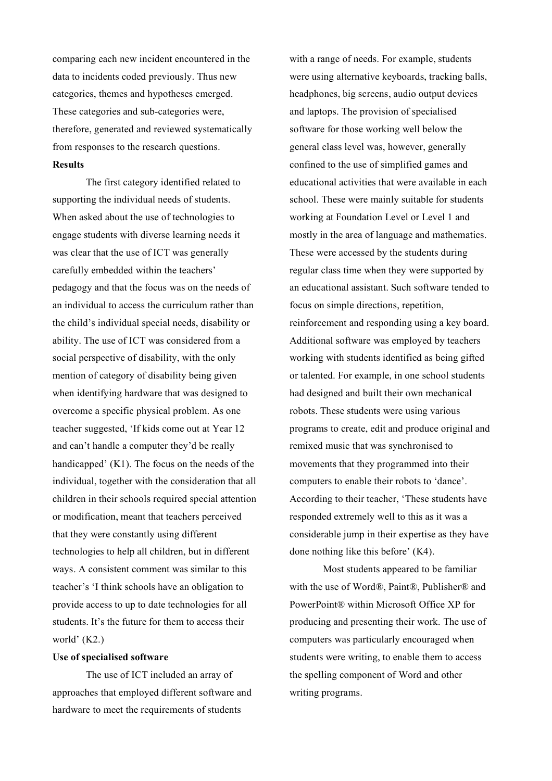comparing each new incident encountered in the data to incidents coded previously. Thus new categories, themes and hypotheses emerged. These categories and sub-categories were, therefore, generated and reviewed systematically from responses to the research questions. **Results**

The first category identified related to supporting the individual needs of students. When asked about the use of technologies to engage students with diverse learning needs it was clear that the use of ICT was generally carefully embedded within the teachers' pedagogy and that the focus was on the needs of an individual to access the curriculum rather than the child's individual special needs, disability or ability. The use of ICT was considered from a social perspective of disability, with the only mention of category of disability being given when identifying hardware that was designed to overcome a specific physical problem. As one teacher suggested, 'If kids come out at Year 12 and can't handle a computer they'd be really handicapped' (K1). The focus on the needs of the individual, together with the consideration that all children in their schools required special attention or modification, meant that teachers perceived that they were constantly using different technologies to help all children, but in different ways. A consistent comment was similar to this teacher's 'I think schools have an obligation to provide access to up to date technologies for all students. It's the future for them to access their world' (K2.)

#### **Use of specialised software**

The use of ICT included an array of approaches that employed different software and hardware to meet the requirements of students

with a range of needs. For example, students were using alternative keyboards, tracking balls, headphones, big screens, audio output devices and laptops. The provision of specialised software for those working well below the general class level was, however, generally confined to the use of simplified games and educational activities that were available in each school. These were mainly suitable for students working at Foundation Level or Level 1 and mostly in the area of language and mathematics. These were accessed by the students during regular class time when they were supported by an educational assistant. Such software tended to focus on simple directions, repetition, reinforcement and responding using a key board. Additional software was employed by teachers working with students identified as being gifted or talented. For example, in one school students had designed and built their own mechanical robots. These students were using various programs to create, edit and produce original and remixed music that was synchronised to movements that they programmed into their computers to enable their robots to 'dance'. According to their teacher, 'These students have responded extremely well to this as it was a considerable jump in their expertise as they have done nothing like this before' (K4).

Most students appeared to be familiar with the use of Word®, Paint®, Publisher® and PowerPoint® within Microsoft Office XP for producing and presenting their work. The use of computers was particularly encouraged when students were writing, to enable them to access the spelling component of Word and other writing programs.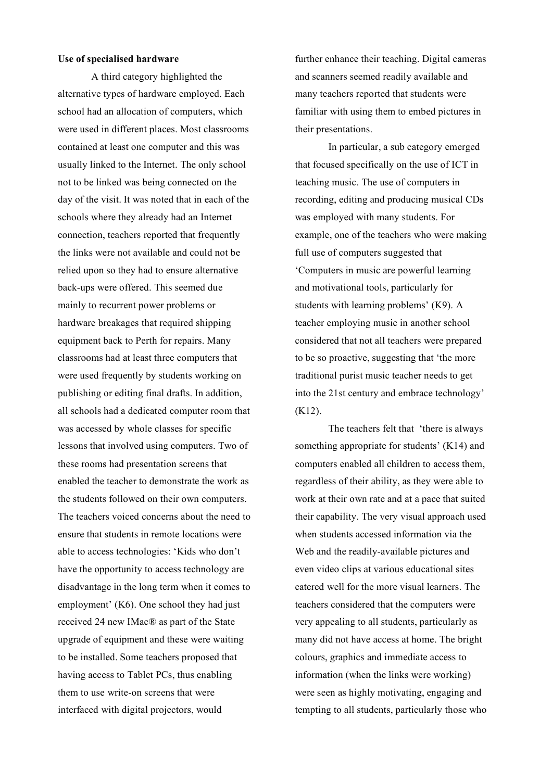### **Use of specialised hardware**

A third category highlighted the alternative types of hardware employed. Each school had an allocation of computers, which were used in different places. Most classrooms contained at least one computer and this was usually linked to the Internet. The only school not to be linked was being connected on the day of the visit. It was noted that in each of the schools where they already had an Internet connection, teachers reported that frequently the links were not available and could not be relied upon so they had to ensure alternative back-ups were offered. This seemed due mainly to recurrent power problems or hardware breakages that required shipping equipment back to Perth for repairs. Many classrooms had at least three computers that were used frequently by students working on publishing or editing final drafts. In addition, all schools had a dedicated computer room that was accessed by whole classes for specific lessons that involved using computers. Two of these rooms had presentation screens that enabled the teacher to demonstrate the work as the students followed on their own computers. The teachers voiced concerns about the need to ensure that students in remote locations were able to access technologies: 'Kids who don't have the opportunity to access technology are disadvantage in the long term when it comes to employment' (K6). One school they had just received 24 new IMac® as part of the State upgrade of equipment and these were waiting to be installed. Some teachers proposed that having access to Tablet PCs, thus enabling them to use write-on screens that were interfaced with digital projectors, would

further enhance their teaching. Digital cameras and scanners seemed readily available and many teachers reported that students were familiar with using them to embed pictures in their presentations.

In particular, a sub category emerged that focused specifically on the use of ICT in teaching music. The use of computers in recording, editing and producing musical CDs was employed with many students. For example, one of the teachers who were making full use of computers suggested that 'Computers in music are powerful learning and motivational tools, particularly for students with learning problems' (K9). A teacher employing music in another school considered that not all teachers were prepared to be so proactive, suggesting that 'the more traditional purist music teacher needs to get into the 21st century and embrace technology' (K12).

The teachers felt that 'there is always something appropriate for students' (K14) and computers enabled all children to access them, regardless of their ability, as they were able to work at their own rate and at a pace that suited their capability. The very visual approach used when students accessed information via the Web and the readily-available pictures and even video clips at various educational sites catered well for the more visual learners. The teachers considered that the computers were very appealing to all students, particularly as many did not have access at home. The bright colours, graphics and immediate access to information (when the links were working) were seen as highly motivating, engaging and tempting to all students, particularly those who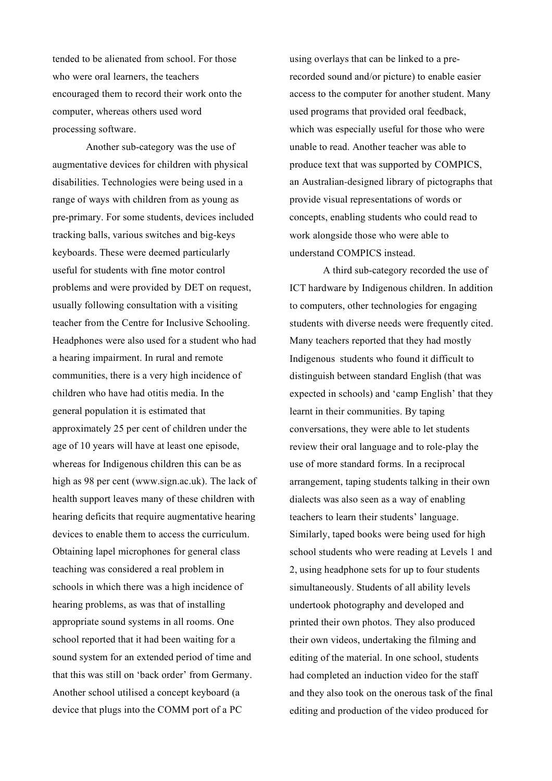tended to be alienated from school. For those who were oral learners, the teachers encouraged them to record their work onto the computer, whereas others used word processing software.

Another sub-category was the use of augmentative devices for children with physical disabilities. Technologies were being used in a range of ways with children from as young as pre-primary. For some students, devices included tracking balls, various switches and big-keys keyboards. These were deemed particularly useful for students with fine motor control problems and were provided by DET on request, usually following consultation with a visiting teacher from the Centre for Inclusive Schooling. Headphones were also used for a student who had a hearing impairment. In rural and remote communities, there is a very high incidence of children who have had otitis media. In the general population it is estimated that approximately 25 per cent of children under the age of 10 years will have at least one episode, whereas for Indigenous children this can be as high as 98 per cent (www.sign.ac.uk). The lack of health support leaves many of these children with hearing deficits that require augmentative hearing devices to enable them to access the curriculum. Obtaining lapel microphones for general class teaching was considered a real problem in schools in which there was a high incidence of hearing problems, as was that of installing appropriate sound systems in all rooms. One school reported that it had been waiting for a sound system for an extended period of time and that this was still on 'back order' from Germany. Another school utilised a concept keyboard (a device that plugs into the COMM port of a PC

using overlays that can be linked to a prerecorded sound and/or picture) to enable easier access to the computer for another student. Many used programs that provided oral feedback, which was especially useful for those who were unable to read. Another teacher was able to produce text that was supported by COMPICS, an Australian-designed library of pictographs that provide visual representations of words or concepts, enabling students who could read to work alongside those who were able to understand COMPICS instead.

A third sub-category recorded the use of ICT hardware by Indigenous children. In addition to computers, other technologies for engaging students with diverse needs were frequently cited. Many teachers reported that they had mostly Indigenous students who found it difficult to distinguish between standard English (that was expected in schools) and 'camp English' that they learnt in their communities. By taping conversations, they were able to let students review their oral language and to role-play the use of more standard forms. In a reciprocal arrangement, taping students talking in their own dialects was also seen as a way of enabling teachers to learn their students' language. Similarly, taped books were being used for high school students who were reading at Levels 1 and 2, using headphone sets for up to four students simultaneously. Students of all ability levels undertook photography and developed and printed their own photos. They also produced their own videos, undertaking the filming and editing of the material. In one school, students had completed an induction video for the staff and they also took on the onerous task of the final editing and production of the video produced for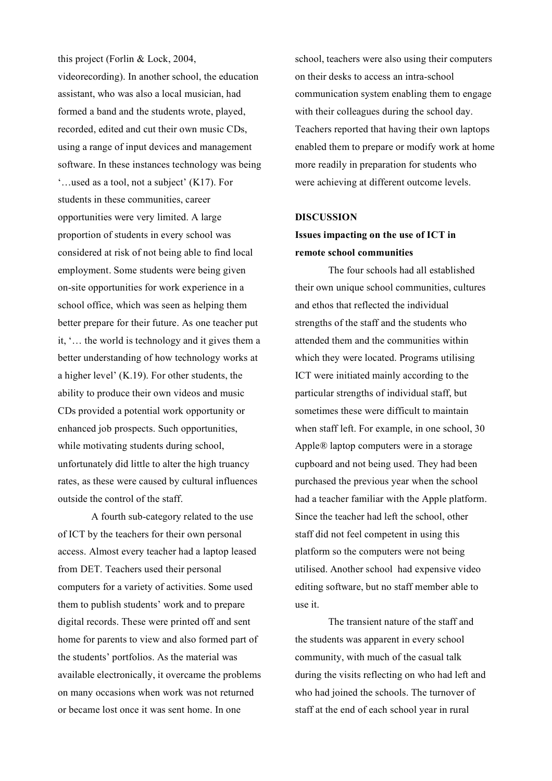this project (Forlin & Lock, 2004, videorecording). In another school, the education assistant, who was also a local musician, had formed a band and the students wrote, played, recorded, edited and cut their own music CDs, using a range of input devices and management software. In these instances technology was being '…used as a tool, not a subject' (K17). For students in these communities, career opportunities were very limited. A large proportion of students in every school was considered at risk of not being able to find local employment. Some students were being given on-site opportunities for work experience in a school office, which was seen as helping them better prepare for their future. As one teacher put it, '… the world is technology and it gives them a better understanding of how technology works at a higher level' (K.19). For other students, the ability to produce their own videos and music CDs provided a potential work opportunity or enhanced job prospects. Such opportunities, while motivating students during school, unfortunately did little to alter the high truancy rates, as these were caused by cultural influences outside the control of the staff.

A fourth sub-category related to the use of ICT by the teachers for their own personal access. Almost every teacher had a laptop leased from DET. Teachers used their personal computers for a variety of activities. Some used them to publish students' work and to prepare digital records. These were printed off and sent home for parents to view and also formed part of the students' portfolios. As the material was available electronically, it overcame the problems on many occasions when work was not returned or became lost once it was sent home. In one

school, teachers were also using their computers on their desks to access an intra-school communication system enabling them to engage with their colleagues during the school day. Teachers reported that having their own laptops enabled them to prepare or modify work at home more readily in preparation for students who were achieving at different outcome levels.

#### **DISCUSSION**

## **Issues impacting on the use of ICT in remote school communities**

The four schools had all established their own unique school communities, cultures and ethos that reflected the individual strengths of the staff and the students who attended them and the communities within which they were located. Programs utilising ICT were initiated mainly according to the particular strengths of individual staff, but sometimes these were difficult to maintain when staff left. For example, in one school, 30 Apple® laptop computers were in a storage cupboard and not being used. They had been purchased the previous year when the school had a teacher familiar with the Apple platform. Since the teacher had left the school, other staff did not feel competent in using this platform so the computers were not being utilised. Another school had expensive video editing software, but no staff member able to use it.

The transient nature of the staff and the students was apparent in every school community, with much of the casual talk during the visits reflecting on who had left and who had joined the schools. The turnover of staff at the end of each school year in rural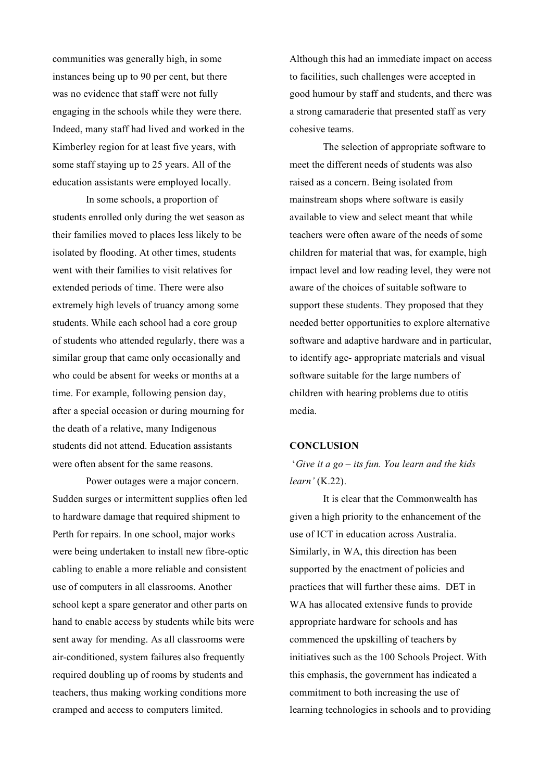communities was generally high, in some instances being up to 90 per cent, but there was no evidence that staff were not fully engaging in the schools while they were there. Indeed, many staff had lived and worked in the Kimberley region for at least five years, with some staff staying up to 25 years. All of the education assistants were employed locally.

In some schools, a proportion of students enrolled only during the wet season as their families moved to places less likely to be isolated by flooding. At other times, students went with their families to visit relatives for extended periods of time. There were also extremely high levels of truancy among some students. While each school had a core group of students who attended regularly, there was a similar group that came only occasionally and who could be absent for weeks or months at a time. For example, following pension day, after a special occasion or during mourning for the death of a relative, many Indigenous students did not attend. Education assistants were often absent for the same reasons.

Power outages were a major concern. Sudden surges or intermittent supplies often led to hardware damage that required shipment to Perth for repairs. In one school, major works were being undertaken to install new fibre-optic cabling to enable a more reliable and consistent use of computers in all classrooms. Another school kept a spare generator and other parts on hand to enable access by students while bits were sent away for mending. As all classrooms were air-conditioned, system failures also frequently required doubling up of rooms by students and teachers, thus making working conditions more cramped and access to computers limited.

Although this had an immediate impact on access to facilities, such challenges were accepted in good humour by staff and students, and there was a strong camaraderie that presented staff as very cohesive teams.

The selection of appropriate software to meet the different needs of students was also raised as a concern. Being isolated from mainstream shops where software is easily available to view and select meant that while teachers were often aware of the needs of some children for material that was, for example, high impact level and low reading level, they were not aware of the choices of suitable software to support these students. They proposed that they needed better opportunities to explore alternative software and adaptive hardware and in particular, to identify age- appropriate materials and visual software suitable for the large numbers of children with hearing problems due to otitis media.

### **CONCLUSION**

'*Give it a go – its fun. You learn and the kids learn'* (K.22).

It is clear that the Commonwealth has given a high priority to the enhancement of the use of ICT in education across Australia. Similarly, in WA, this direction has been supported by the enactment of policies and practices that will further these aims. DET in WA has allocated extensive funds to provide appropriate hardware for schools and has commenced the upskilling of teachers by initiatives such as the 100 Schools Project. With this emphasis, the government has indicated a commitment to both increasing the use of learning technologies in schools and to providing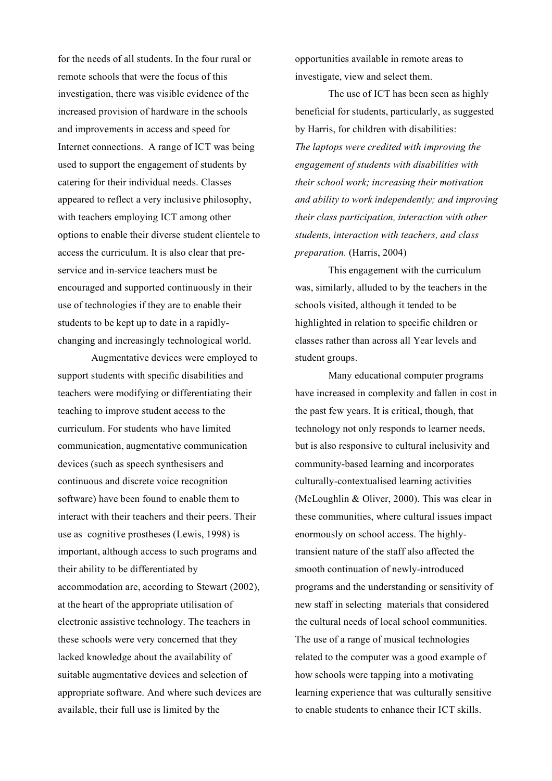for the needs of all students. In the four rural or remote schools that were the focus of this investigation, there was visible evidence of the increased provision of hardware in the schools and improvements in access and speed for Internet connections. A range of ICT was being used to support the engagement of students by catering for their individual needs. Classes appeared to reflect a very inclusive philosophy, with teachers employing ICT among other options to enable their diverse student clientele to access the curriculum. It is also clear that preservice and in-service teachers must be encouraged and supported continuously in their use of technologies if they are to enable their students to be kept up to date in a rapidlychanging and increasingly technological world.

Augmentative devices were employed to support students with specific disabilities and teachers were modifying or differentiating their teaching to improve student access to the curriculum. For students who have limited communication, augmentative communication devices (such as speech synthesisers and continuous and discrete voice recognition software) have been found to enable them to interact with their teachers and their peers. Their use as cognitive prostheses (Lewis, 1998) is important, although access to such programs and their ability to be differentiated by accommodation are, according to Stewart (2002), at the heart of the appropriate utilisation of electronic assistive technology. The teachers in these schools were very concerned that they lacked knowledge about the availability of suitable augmentative devices and selection of appropriate software. And where such devices are available, their full use is limited by the

opportunities available in remote areas to investigate, view and select them.

The use of ICT has been seen as highly beneficial for students, particularly, as suggested by Harris, for children with disabilities: *The laptops were credited with improving the engagement of students with disabilities with their school work; increasing their motivation and ability to work independently; and improving their class participation, interaction with other students, interaction with teachers, and class preparation.* (Harris, 2004)

This engagement with the curriculum was, similarly, alluded to by the teachers in the schools visited, although it tended to be highlighted in relation to specific children or classes rather than across all Year levels and student groups.

Many educational computer programs have increased in complexity and fallen in cost in the past few years. It is critical, though, that technology not only responds to learner needs, but is also responsive to cultural inclusivity and community-based learning and incorporates culturally-contextualised learning activities (McLoughlin & Oliver, 2000). This was clear in these communities, where cultural issues impact enormously on school access. The highlytransient nature of the staff also affected the smooth continuation of newly-introduced programs and the understanding or sensitivity of new staff in selecting materials that considered the cultural needs of local school communities. The use of a range of musical technologies related to the computer was a good example of how schools were tapping into a motivating learning experience that was culturally sensitive to enable students to enhance their ICT skills.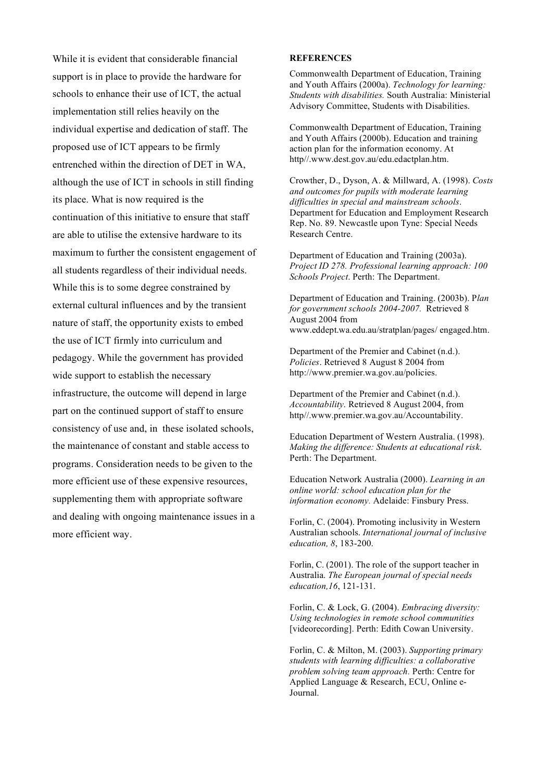While it is evident that considerable financial support is in place to provide the hardware for schools to enhance their use of ICT, the actual implementation still relies heavily on the individual expertise and dedication of staff. The proposed use of ICT appears to be firmly entrenched within the direction of DET in WA, although the use of ICT in schools in still finding its place. What is now required is the continuation of this initiative to ensure that staff are able to utilise the extensive hardware to its maximum to further the consistent engagement of all students regardless of their individual needs. While this is to some degree constrained by external cultural influences and by the transient nature of staff, the opportunity exists to embed the use of ICT firmly into curriculum and pedagogy. While the government has provided wide support to establish the necessary infrastructure, the outcome will depend in large part on the continued support of staff to ensure consistency of use and, in these isolated schools, the maintenance of constant and stable access to programs. Consideration needs to be given to the more efficient use of these expensive resources, supplementing them with appropriate software and dealing with ongoing maintenance issues in a more efficient way.

#### **REFERENCES**

Commonwealth Department of Education, Training and Youth Affairs (2000a). *Technology for learning: Students with disabilities.* South Australia: Ministerial Advisory Committee, Students with Disabilities.

Commonwealth Department of Education, Training and Youth Affairs (2000b). Education and training action plan for the information economy. At http//.www.dest.gov.au/edu.edactplan.htm.

Crowther, D., Dyson, A. & Millward, A. (1998). *Costs and outcomes for pupils with moderate learning difficulties in special and mainstream schools*. Department for Education and Employment Research Rep. No. 89. Newcastle upon Tyne: Special Needs Research Centre.

Department of Education and Training (2003a). *Project ID 278. Professional learning approach: 100 Schools Project*. Perth: The Department.

Department of Education and Training. (2003b). P*lan for government schools 2004-2007.* Retrieved 8 August 2004 from www.eddept.wa.edu.au/stratplan/pages/ engaged.htm.

Department of the Premier and Cabinet (n.d.). *Policies*. Retrieved 8 August 8 2004 from http://www.premier.wa.gov.au/policies.

Department of the Premier and Cabinet (n.d.). *Accountability*. Retrieved 8 August 2004, from http//.www.premier.wa.gov.au/Accountability.

Education Department of Western Australia. (1998). *Making the difference: Students at educational risk*. Perth: The Department.

Education Network Australia (2000). *Learning in an online world: school education plan for the information economy.* Adelaide: Finsbury Press.

Forlin, C. (2004). Promoting inclusivity in Western Australian schools. *International journal of inclusive education, 8*, 183-200.

Forlin, C. (2001). The role of the support teacher in Australia. *The European journal of special needs education,16*, 121-131.

Forlin, C. & Lock, G. (2004). *Embracing diversity: Using technologies in remote school communities* [videorecording]. Perth: Edith Cowan University.

Forlin, C. & Milton, M. (2003). *Supporting primary students with learning difficulties: a collaborative problem solving team approach.* Perth: Centre for Applied Language & Research, ECU, Online e-Journal.